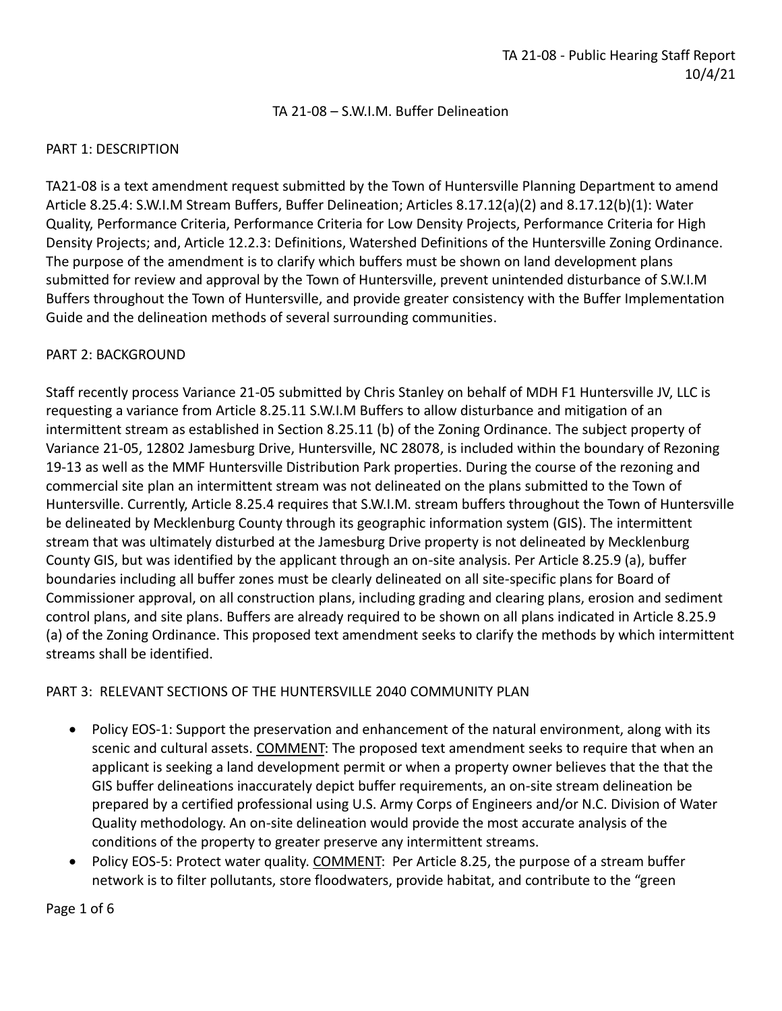### TA 21-08 – S.W.I.M. Buffer Delineation

### PART 1: DESCRIPTION

TA21-08 is a text amendment request submitted by the Town of Huntersville Planning Department to amend Article 8.25.4: S.W.I.M Stream Buffers, Buffer Delineation; Articles 8.17.12(a)(2) and 8.17.12(b)(1): Water Quality, Performance Criteria, Performance Criteria for Low Density Projects, Performance Criteria for High Density Projects; and, Article 12.2.3: Definitions, Watershed Definitions of the Huntersville Zoning Ordinance. The purpose of the amendment is to clarify which buffers must be shown on land development plans submitted for review and approval by the Town of Huntersville, prevent unintended disturbance of S.W.I.M Buffers throughout the Town of Huntersville, and provide greater consistency with the Buffer Implementation Guide and the delineation methods of several surrounding communities.

#### PART 2: BACKGROUND

Staff recently process Variance 21-05 submitted by Chris Stanley on behalf of MDH F1 Huntersville JV, LLC is requesting a variance from Article 8.25.11 S.W.I.M Buffers to allow disturbance and mitigation of an intermittent stream as established in Section 8.25.11 (b) of the Zoning Ordinance. The subject property of Variance 21-05, 12802 Jamesburg Drive, Huntersville, NC 28078, is included within the boundary of Rezoning 19-13 as well as the MMF Huntersville Distribution Park properties. During the course of the rezoning and commercial site plan an intermittent stream was not delineated on the plans submitted to the Town of Huntersville. Currently, Article 8.25.4 requires that S.W.I.M. stream buffers throughout the Town of Huntersville be delineated by Mecklenburg County through its geographic information system (GIS). The intermittent stream that was ultimately disturbed at the Jamesburg Drive property is not delineated by Mecklenburg County GIS, but was identified by the applicant through an on-site analysis. Per Article 8.25.9 (a), buffer boundaries including all buffer zones must be clearly delineated on all site-specific plans for Board of Commissioner approval, on all construction plans, including grading and clearing plans, erosion and sediment control plans, and site plans. Buffers are already required to be shown on all plans indicated in Article 8.25.9 (a) of the Zoning Ordinance. This proposed text amendment seeks to clarify the methods by which intermittent streams shall be identified.

### PART 3: RELEVANT SECTIONS OF THE HUNTERSVILLE 2040 COMMUNITY PLAN

- Policy EOS-1: Support the preservation and enhancement of the natural environment, along with its scenic and cultural assets. COMMENT: The proposed text amendment seeks to require that when an applicant is seeking a land development permit or when a property owner believes that the that the GIS buffer delineations inaccurately depict buffer requirements, an on-site stream delineation be prepared by a certified professional using U.S. Army Corps of Engineers and/or N.C. Division of Water Quality methodology. An on-site delineation would provide the most accurate analysis of the conditions of the property to greater preserve any intermittent streams.
- Policy EOS-5: Protect water quality. COMMENT: Per Article 8.25, the purpose of a stream buffer network is to filter pollutants, store floodwaters, provide habitat, and contribute to the "green

Page 1 of 6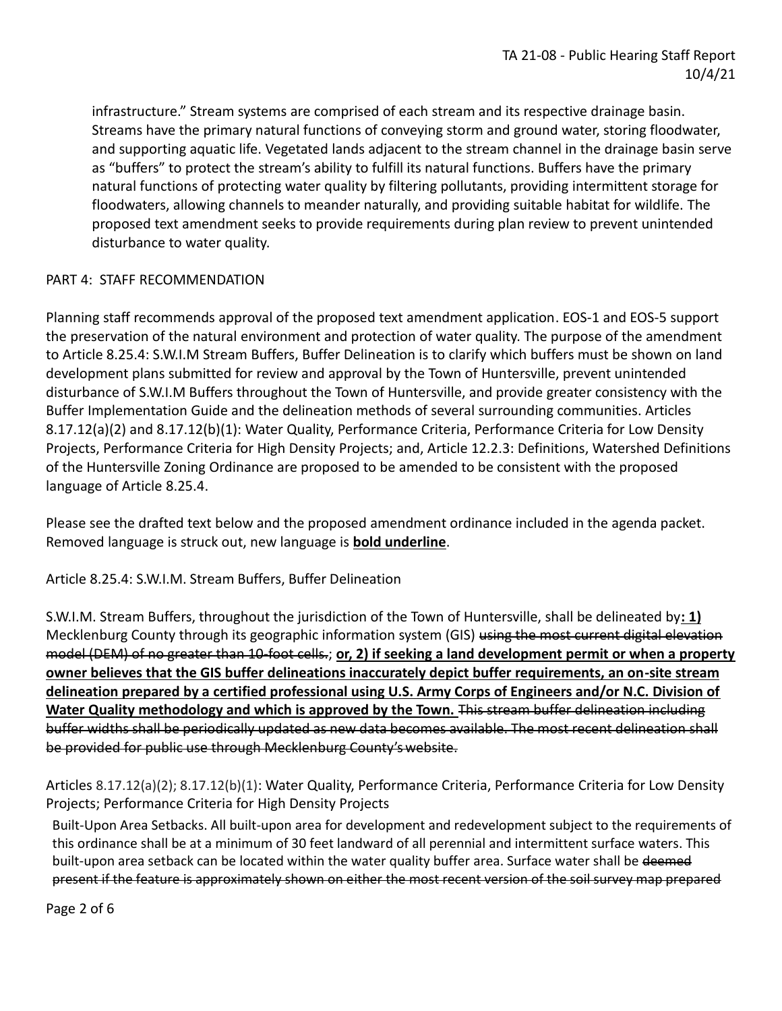infrastructure." Stream systems are comprised of each stream and its respective drainage basin. Streams have the primary natural functions of conveying storm and ground water, storing floodwater, and supporting aquatic life. Vegetated lands adjacent to the stream channel in the drainage basin serve as "buffers" to protect the stream's ability to fulfill its natural functions. Buffers have the primary natural functions of protecting water quality by filtering pollutants, providing intermittent storage for floodwaters, allowing channels to meander naturally, and providing suitable habitat for wildlife. The proposed text amendment seeks to provide requirements during plan review to prevent unintended disturbance to water quality.

## PART 4: STAFF RECOMMENDATION

Planning staff recommends approval of the proposed text amendment application. EOS-1 and EOS-5 support the preservation of the natural environment and protection of water quality. The purpose of the amendment to Article 8.25.4: S.W.I.M Stream Buffers, Buffer Delineation is to clarify which buffers must be shown on land development plans submitted for review and approval by the Town of Huntersville, prevent unintended disturbance of S.W.I.M Buffers throughout the Town of Huntersville, and provide greater consistency with the Buffer Implementation Guide and the delineation methods of several surrounding communities. Articles 8.17.12(a)(2) and 8.17.12(b)(1): Water Quality, Performance Criteria, Performance Criteria for Low Density Projects, Performance Criteria for High Density Projects; and, Article 12.2.3: Definitions, Watershed Definitions of the Huntersville Zoning Ordinance are proposed to be amended to be consistent with the proposed language of Article 8.25.4.

Please see the drafted text below and the proposed amendment ordinance included in the agenda packet. Removed language is struck out, new language is **bold underline**.

Article 8.25.4: S.W.I.M. Stream Buffers, Buffer Delineation

S.W.I.M. Stream Buffers, throughout the jurisdiction of the Town of Huntersville, shall be delineated by**: 1)**  Mecklenburg County through its geographic information system (GIS) using the most current digital elevation model (DEM) of no greater than 10-foot cells.; **or, 2) if seeking a land development permit or when a property owner believes that the GIS buffer delineations inaccurately depict buffer requirements, an on-site stream delineation prepared by a certified professional using U.S. Army Corps of Engineers and/or N.C. Division of**  Water Quality methodology and which is approved by the Town. This stream buffer delineation including buffer widths shall be periodically updated as new data becomes available. The most recent delineation shall be provided for public use through Mecklenburg County'swebsite.

Articles 8.17.12(a)(2); 8.17.12(b)(1): Water Quality, Performance Criteria, Performance Criteria for Low Density Projects; Performance Criteria for High Density Projects

Built-Upon Area Setbacks. All built-upon area for development and redevelopment subject to the requirements of this ordinance shall be at a minimum of 30 feet landward of all perennial and intermittent surface waters. This built-upon area setback can be located within the water quality buffer area. Surface water shall be deemed present if the feature is approximately shown on either the most recent version of the soil survey map prepared

Page 2 of 6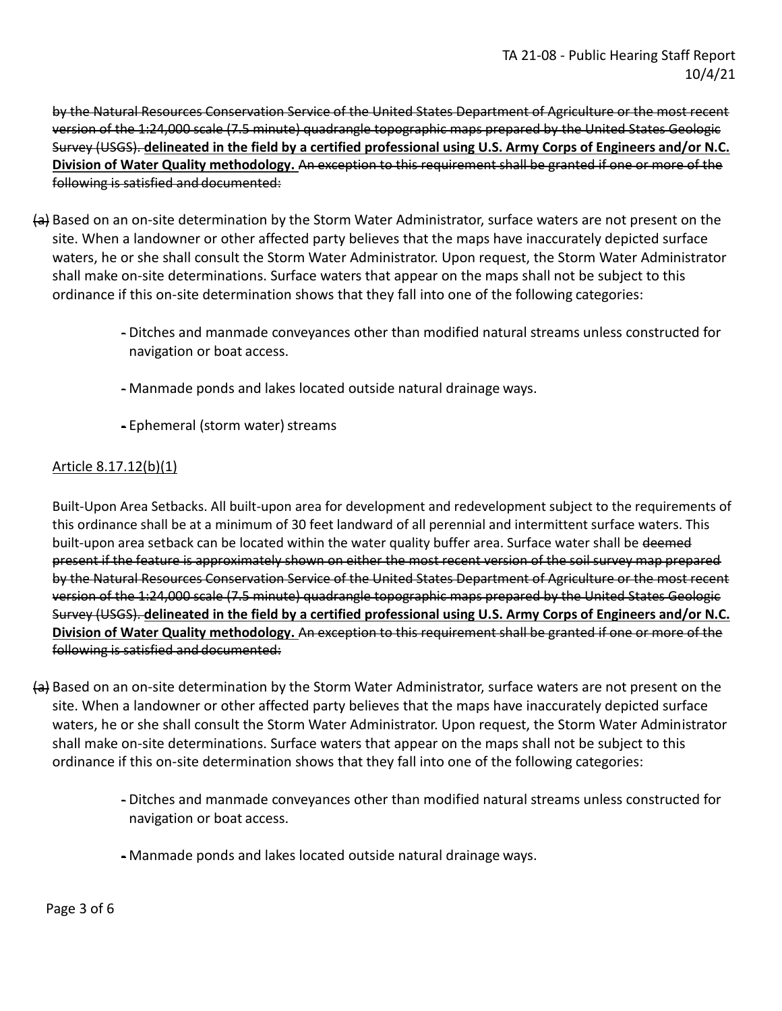by the Natural Resources Conservation Service of the United States Department of Agriculture or the most recent version of the 1:24,000 scale (7.5 minute) quadrangle topographic maps prepared by the United States Geologic Survey (USGS). **delineated in the field by a certified professional using U.S. Army Corps of Engineers and/or N.C. Division of Water Quality methodology.** An exception to this requirement shall be granted if one or more of the following is satisfied and documented:

- (a) Based on an on-site determination by the Storm Water Administrator, surface waters are not present on the site. When a landowner or other affected party believes that the maps have inaccurately depicted surface waters, he or she shall consult the Storm Water Administrator. Upon request, the Storm Water Administrator shall make on-site determinations. Surface waters that appear on the maps shall not be subject to this ordinance if this on-site determination shows that they fall into one of the following categories:
	- Ditches and manmade conveyances other than modified natural streams unless constructed for navigation or boat access.
	- Manmade ponds and lakes located outside natural drainage ways.
	- Ephemeral (storm water) streams

# Article 8.17.12(b)(1)

Built-Upon Area Setbacks. All built-upon area for development and redevelopment subject to the requirements of this ordinance shall be at a minimum of 30 feet landward of all perennial and intermittent surface waters. This built-upon area setback can be located within the water quality buffer area. Surface water shall be deemed present if the feature is approximately shown on either the most recent version of the soil survey map prepared by the Natural Resources Conservation Service of the United States Department of Agriculture or the most recent version of the 1:24,000 scale (7.5 minute) quadrangle topographic maps prepared by the United States Geologic Survey (USGS). **delineated in the field by a certified professional using U.S. Army Corps of Engineers and/or N.C. Division of Water Quality methodology.** An exception to this requirement shall be granted if one or more of the following is satisfied and documented:

- (a) Based on an on-site determination by the Storm Water Administrator, surface waters are not present on the site. When a landowner or other affected party believes that the maps have inaccurately depicted surface waters, he or she shall consult the Storm Water Administrator. Upon request, the Storm Water Administrator shall make on-site determinations. Surface waters that appear on the maps shall not be subject to this ordinance if this on-site determination shows that they fall into one of the following categories:
	- Ditches and manmade conveyances other than modified natural streams unless constructed for navigation or boat access.
	- Manmade ponds and lakes located outside natural drainage ways.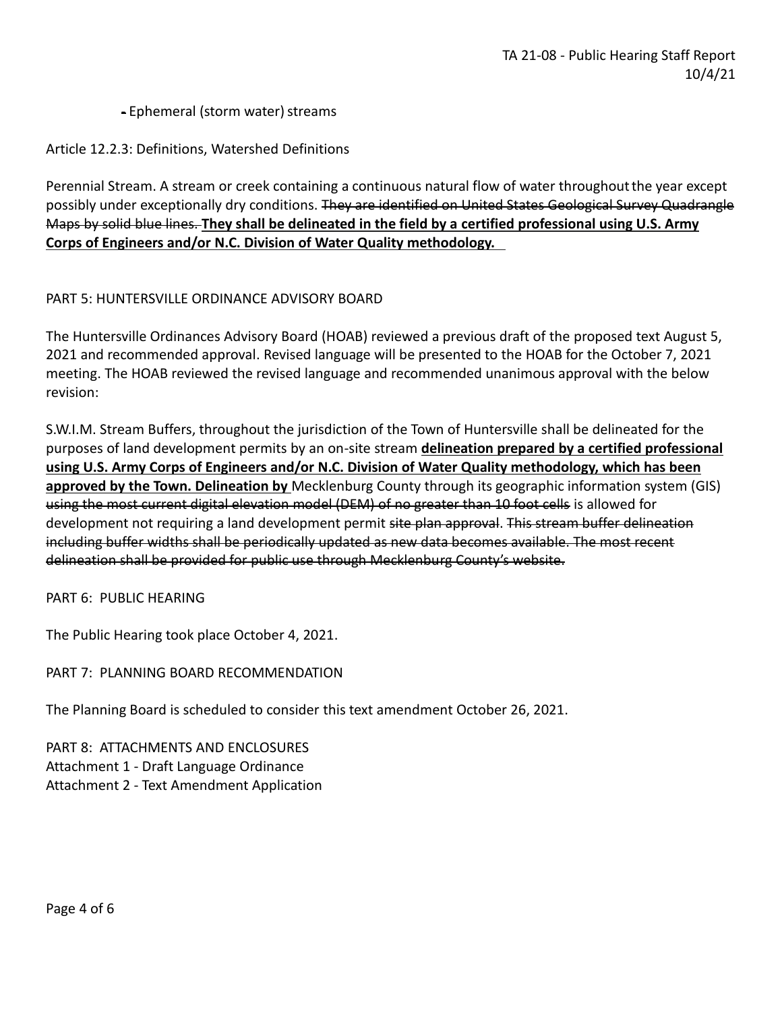## - Ephemeral (storm water) streams

Article 12.2.3: Definitions, Watershed Definitions

Perennial Stream. A stream or creek containing a continuous natural flow of water throughoutthe year except possibly under exceptionally dry conditions. They are identified on United States Geological Survey Quadrangle Maps by solid blue lines. **They shall be delineated in the field by a certified professional using U.S. Army Corps of Engineers and/or N.C. Division of Water Quality methodology.**

## PART 5: HUNTERSVILLE ORDINANCE ADVISORY BOARD

The Huntersville Ordinances Advisory Board (HOAB) reviewed a previous draft of the proposed text August 5, 2021 and recommended approval. Revised language will be presented to the HOAB for the October 7, 2021 meeting. The HOAB reviewed the revised language and recommended unanimous approval with the below revision:

S.W.I.M. Stream Buffers, throughout the jurisdiction of the Town of Huntersville shall be delineated for the purposes of land development permits by an on-site stream **delineation prepared by a certified professional using U.S. Army Corps of Engineers and/or N.C. Division of Water Quality methodology, which has been approved by the Town. Delineation by** Mecklenburg County through its geographic information system (GIS) using the most current digital elevation model (DEM) of no greater than 10 foot cells is allowed for development not requiring a land development permit site plan approval. This stream buffer delineation including buffer widths shall be periodically updated as new data becomes available. The most recent delineation shall be provided for public use through Mecklenburg County's website.

PART 6: PUBLIC HEARING

The Public Hearing took place October 4, 2021.

PART 7: PLANNING BOARD RECOMMENDATION

The Planning Board is scheduled to consider this text amendment October 26, 2021.

PART 8: ATTACHMENTS AND ENCLOSURES Attachment 1 - Draft Language Ordinance Attachment 2 - Text Amendment Application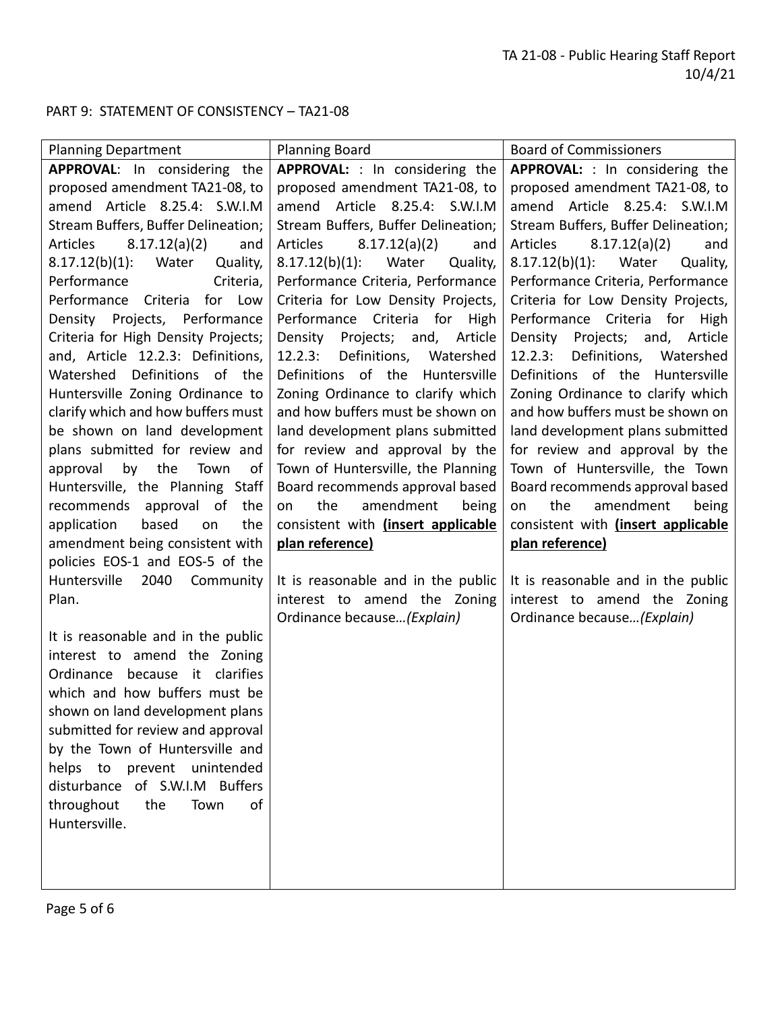# PART 9: STATEMENT OF CONSISTENCY – TA21-08

| <b>Planning Department</b>               | <b>Planning Board</b>                   | <b>Board of Commissioners</b>           |
|------------------------------------------|-----------------------------------------|-----------------------------------------|
| APPROVAL: In considering the             | APPROVAL: : In considering the          | <b>APPROVAL:</b> : In considering the   |
| proposed amendment TA21-08, to           | proposed amendment TA21-08, to          | proposed amendment TA21-08, to          |
| amend Article 8.25.4: S.W.I.M            | amend Article 8.25.4: S.W.I.M           | amend Article 8.25.4: S.W.I.M           |
| Stream Buffers, Buffer Delineation;      | Stream Buffers, Buffer Delineation;     | Stream Buffers, Buffer Delineation;     |
| 8.17.12(a)(2)<br>Articles<br>and         | 8.17.12(a)(2)<br>Articles<br>and        | 8.17.12(a)(2)<br><b>Articles</b><br>and |
| $8.17.12(b)(1)$ :<br>Quality,<br>Water   | $8.17.12(b)(1)$ :<br>Water<br>Quality,  | $8.17.12(b)(1)$ :<br>Quality,<br>Water  |
| Criteria,<br>Performance                 | Performance Criteria, Performance       | Performance Criteria, Performance       |
| Performance Criteria<br>for Low          | Criteria for Low Density Projects,      | Criteria for Low Density Projects,      |
| Density Projects, Performance            | Performance Criteria for High           | Performance Criteria for High           |
| Criteria for High Density Projects;      | Projects;<br>and,<br>Article<br>Density | Density Projects; and, Article          |
| and, Article 12.2.3: Definitions,        | Definitions,<br>12.2.3:<br>Watershed    | Definitions, Watershed<br>12.2.3:       |
| Definitions of the<br>Watershed          | Definitions of the<br>Huntersville      | Definitions of the Huntersville         |
| Huntersville Zoning Ordinance to         | Zoning Ordinance to clarify which       | Zoning Ordinance to clarify which       |
| clarify which and how buffers must       | and how buffers must be shown on        | and how buffers must be shown on        |
| be shown on land development             | land development plans submitted        | land development plans submitted        |
| plans submitted for review and           | for review and approval by the          | for review and approval by the          |
| by<br>the<br>Town<br>approval<br>οf      | Town of Huntersville, the Planning      | Town of Huntersville, the Town          |
| Huntersville, the Planning Staff         | Board recommends approval based         | Board recommends approval based         |
| approval of<br>recommends<br>the         | the<br>amendment<br>being<br>on         | amendment<br>the<br>being<br>on         |
| application<br>based<br>the<br><b>on</b> | consistent with (insert applicable      | consistent with (insert applicable      |
| amendment being consistent with          | plan reference)                         | plan reference)                         |
| policies EOS-1 and EOS-5 of the          |                                         |                                         |
| Huntersville<br>2040<br>Community        | It is reasonable and in the public      | It is reasonable and in the public      |
| Plan.                                    | interest to amend the Zoning            | interest to amend the Zoning            |
|                                          | Ordinance because (Explain)             | Ordinance because (Explain)             |
| It is reasonable and in the public       |                                         |                                         |
| interest to amend the Zoning             |                                         |                                         |
| clarifies<br>because it<br>Ordinance     |                                         |                                         |
| which and how buffers must be            |                                         |                                         |
| shown on land development plans          |                                         |                                         |
| submitted for review and approval        |                                         |                                         |
| by the Town of Huntersville and          |                                         |                                         |
| helps to prevent unintended              |                                         |                                         |
| disturbance of S.W.I.M Buffers           |                                         |                                         |
| throughout<br>the<br>of<br>Town          |                                         |                                         |
| Huntersville.                            |                                         |                                         |
|                                          |                                         |                                         |
|                                          |                                         |                                         |
|                                          |                                         |                                         |